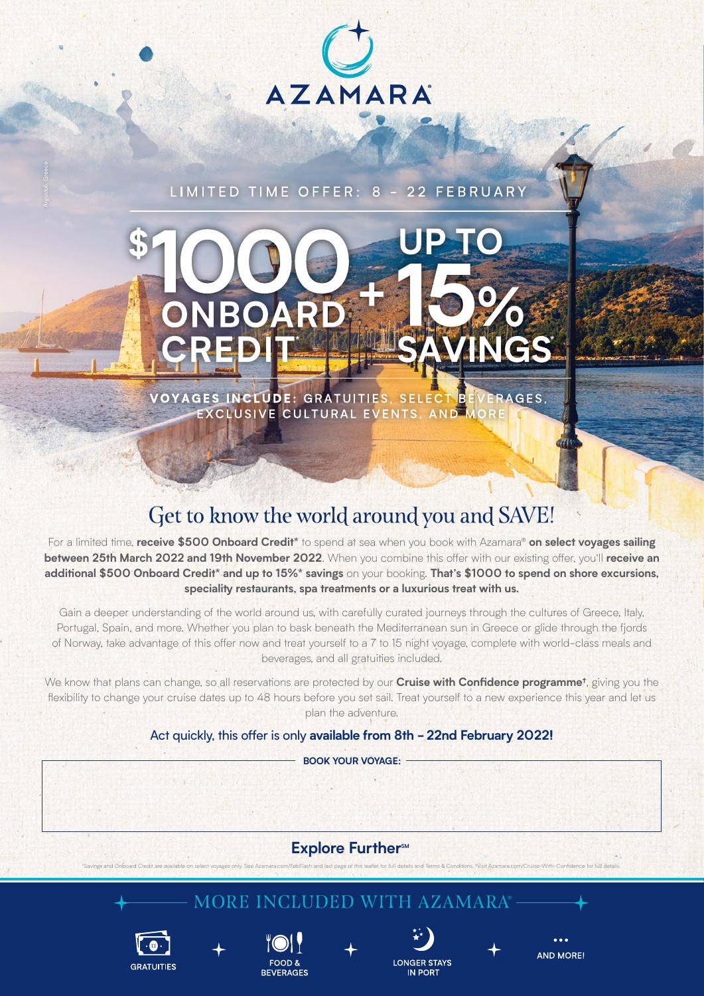

LIMITED TIME OFFER: 8 - 22 FEBRUARY

# JP TO ARD B INGS

GES INCLUDE: GRATUITIES, SELECT BEVERAGES, VOYAGES INCLUDE: GRATUITIES, SELECT

## Get to know the world around you and SAVE!

For a limited time, **receive \$500 Onboard Credit\*** to spend at sea when you book with Azamara® **on select voyages sailing between 25th March 2022 and 19th November 2022**. When you combine this offer with our existing offer, you'll **receive an additional \$500 Onboard Credit\* and up to 15%\* savings** on your booking. **That's \$1000 to spend on shore excursions, speciality restaurants, spa treatments or a luxurious treat with us.**

Gain a deeper understanding of the world around us, with carefully curated journeys through the cultures of Greece, Italy, Portugal, Spain, and more. Whether you plan to bask beneath the Mediterranean sun in Greece or glide through the fjords of Norway, take advantage of this offer now and treat yourself to a 7 to 15 night voyage, complete with world-class meals and beverages, and all gratuities included.

We know that plans can change, so all reservations are protected by our **Cruise with Confidence programme†**, giving you the flexibility to change your cruise dates up to 48 hours before you set sail. Treat yourself to a new experience this year and let us plan the adventure.

Act quickly, this offer is only **available from 8th - 22nd February 2022!**

**BOOK YOUR VOYAGE:**

## Explore Further<sup>SM</sup>

\*Savings and Onboard Credit are available on select voyages only. See Azamara.com/FebFlash and last page of this leaflet for full details and Terms & Conditions. †Visit Azamara.com/Cruise-With-Confidence for full details.

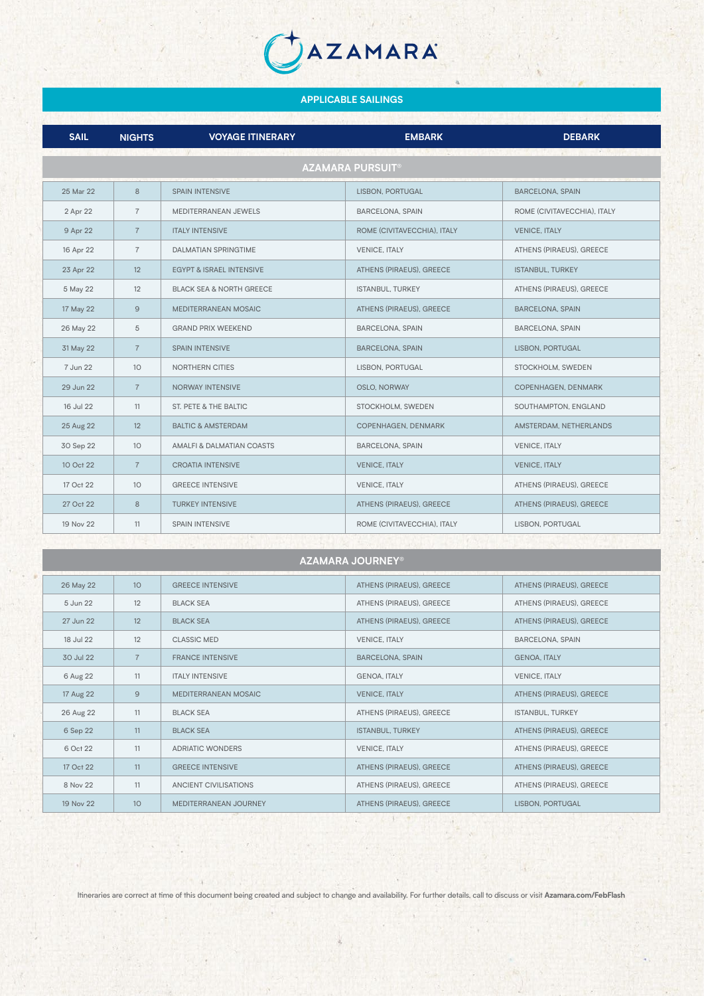### **APPLICABLE SAILINGS**

AZAMARA

| <b>SAIL</b>                        | <b>NIGHTS</b>   | <b>VOYAGE ITINERARY</b>             | <b>EMBARK</b>               | <b>DEBARK</b>               |  |  |
|------------------------------------|-----------------|-------------------------------------|-----------------------------|-----------------------------|--|--|
| <b>AZAMARA PURSUIT<sup>®</sup></b> |                 |                                     |                             |                             |  |  |
| 25 Mar 22                          | 8               | <b>SPAIN INTENSIVE</b>              | LISBON, PORTUGAL            | <b>BARCELONA, SPAIN</b>     |  |  |
| 2 Apr 22                           | $\overline{7}$  | MEDITERRANEAN JEWELS                | <b>BARCELONA, SPAIN</b>     | ROME (CIVITAVECCHIA), ITALY |  |  |
| 9 Apr 22                           | $\overline{7}$  | <b>ITALY INTENSIVE</b>              | ROME (CIVITAVECCHIA), ITALY | <b>VENICE, ITALY</b>        |  |  |
| 16 Apr 22                          | $\overline{7}$  | DALMATIAN SPRINGTIME                | <b>VENICE, ITALY</b>        | ATHENS (PIRAEUS), GREECE    |  |  |
| 23 Apr 22                          | 12              | <b>EGYPT &amp; ISRAEL INTENSIVE</b> | ATHENS (PIRAEUS), GREECE    | <b>ISTANBUL, TURKEY</b>     |  |  |
| 5 May 22                           | 12              | <b>BLACK SEA &amp; NORTH GREECE</b> | <b>ISTANBUL, TURKEY</b>     | ATHENS (PIRAEUS), GREECE    |  |  |
| 17 May 22                          | $\overline{9}$  | MEDITERRANEAN MOSAIC                | ATHENS (PIRAEUS), GREECE    | <b>BARCELONA, SPAIN</b>     |  |  |
| 26 May 22                          | 5               | <b>GRAND PRIX WEEKEND</b>           | <b>BARCELONA, SPAIN</b>     | <b>BARCELONA, SPAIN</b>     |  |  |
| 31 May 22                          | $\overline{7}$  | <b>SPAIN INTENSIVE</b>              | <b>BARCELONA, SPAIN</b>     | LISBON, PORTUGAL            |  |  |
| 7 Jun 22                           | 10              | <b>NORTHERN CITIES</b>              | LISBON, PORTUGAL            | STOCKHOLM, SWEDEN           |  |  |
| 29 Jun 22                          | $\overline{7}$  | <b>NORWAY INTENSIVE</b>             | OSLO, NORWAY                | COPENHAGEN, DENMARK         |  |  |
| 16 Jul 22                          | 11              | ST. PETE & THE BALTIC               | STOCKHOLM, SWEDEN           | SOUTHAMPTON, ENGLAND        |  |  |
| 25 Aug 22                          | 12              | <b>BALTIC &amp; AMSTERDAM</b>       | COPENHAGEN, DENMARK         | AMSTERDAM, NETHERLANDS      |  |  |
| 30 Sep 22                          | 10 <sup>°</sup> | AMALFI & DALMATIAN COASTS           | <b>BARCELONA, SPAIN</b>     | <b>VENICE, ITALY</b>        |  |  |
| 10 Oct 22                          | $\overline{7}$  | <b>CROATIA INTENSIVE</b>            | <b>VENICE, ITALY</b>        | <b>VENICE, ITALY</b>        |  |  |
| 17 Oct 22                          | 10              | <b>GREECE INTENSIVE</b>             | <b>VENICE, ITALY</b>        | ATHENS (PIRAEUS), GREECE    |  |  |
| 27 Oct 22                          | 8               | <b>TURKEY INTENSIVE</b>             | ATHENS (PIRAEUS), GREECE    | ATHENS (PIRAEUS), GREECE    |  |  |
| 19 Nov 22                          | 11              | <b>SPAIN INTENSIVE</b>              | ROME (CIVITAVECCHIA), ITALY | LISBON, PORTUGAL            |  |  |
| un yan nu<br>$8.13 - 10$           |                 |                                     |                             |                             |  |  |
| <b>AZAMARA JOURNEY®</b>            |                 |                                     |                             |                             |  |  |

26 May 22 10 GREECE INTENSIVE ATHENS (PIRAEUS), GREECE ATHENS (PIRAEUS), GREECE 5 Jun 22 | 12 BLACK SEA ATHENS (PIRAEUS), GREECE ATHENS (PIRAEUS), GREECE 27 Jun 22 12 BLACK SEA **BLACK SEA** ATHENS (PIRAEUS), GREECE ATHENS (PIRAEUS), GREECE 18 Jul 22 12 CLASSIC MED CLASSIC MED VENICE ITALY WELL FOR CLASSIC MEDICAL SPAIN 30 Jul 22 7 FRANCE INTENSIVE BARCELONA, SPAIN GENOA, ITALY 6 Aug 22 11 ITALY INTENSIVE GENOA, ITALY VENICE, ITALY 17 Aug 22 9 MEDITERRANEAN MOSAIC VENICE, ITALY VENICE, ITALY ATHENS (PIRAEUS), GREECE 26 Aug 22 | 11 | BLACK SEA ATHENS (PIRAEUS), GREECE | ISTANBUL, TURKEY 6 Sep 22 11 BLACK SEA **ISTANBUL, TURKEY** ATHENS (PIRAEUS), GREECE 6 Oct 22 11 ADRIATIC WONDERS VENICE, ITALY VENICE, ITALY ATHENS (PIRAEUS), GREECE 17 Oct 22 11 GREECE INTENSIVE ATHENS (PIRAEUS), GREECE ATHENS (PIRAEUS), GREECE ATHENS (PIRAEUS), GREECE 8 Nov 22 11 ANCIENT CIVILISATIONS ATHENS (PIRAEUS), GREECE ATHENS (PIRAEUS), GREECE 19 Nov 22 10 MEDITERRANEAN JOURNEY ATHENS (PIRAEUS), GREECE LISBON, PORTUGAL

Itineraries are correct at time of this document being created and subject to change and availability. For further details, call to discuss or visit **Azamara.com/FebFlash**